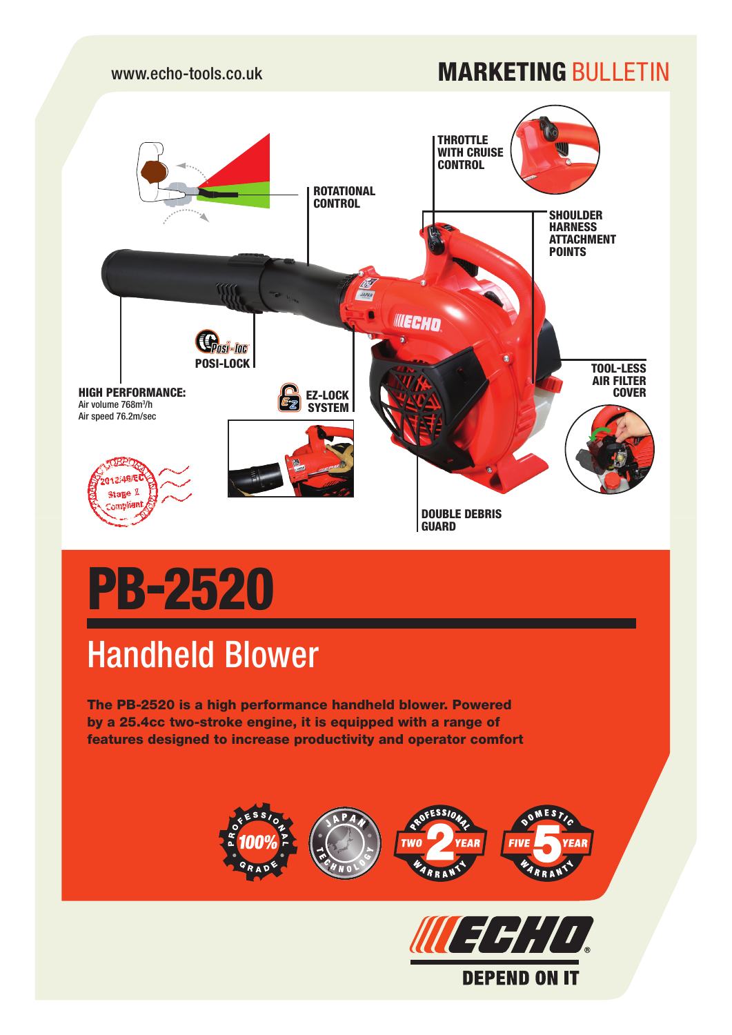## www.echo-tools.co.uk MARKETING BULLETING



# PB-2520

# Handheld Blower

The PB-2520 is a high performance handheld blower. Powered by a 25.4cc two-stroke engine, it is equipped with a range of features designed to increase productivity and operator comfort